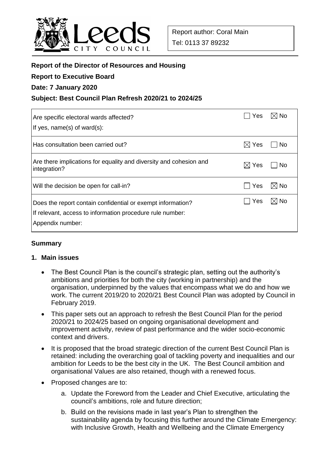

# **Report of the Director of Resources and Housing**

#### **Report to Executive Board**

### **Date: 7 January 2020**

## **Subject: Best Council Plan Refresh 2020/21 to 2024/25**

| Are specific electoral wards affected?<br>If yes, $name(s)$ of ward $(s)$ :                                                                  | Yes.            | $\boxtimes$ No |
|----------------------------------------------------------------------------------------------------------------------------------------------|-----------------|----------------|
| Has consultation been carried out?                                                                                                           | $\boxtimes$ Yes | No             |
| Are there implications for equality and diversity and cohesion and<br>integration?                                                           | $\boxtimes$ Yes | l No           |
| Will the decision be open for call-in?                                                                                                       | <b>Yes</b>      | $\boxtimes$ No |
| Does the report contain confidential or exempt information?<br>If relevant, access to information procedure rule number:<br>Appendix number: | Yes             | $\boxtimes$ No |

### **Summary**

### **1. Main issues**

- The Best Council Plan is the council's strategic plan, setting out the authority's ambitions and priorities for both the city (working in partnership) and the organisation, underpinned by the values that encompass what we do and how we work. The current 2019/20 to 2020/21 Best Council Plan was adopted by Council in February 2019.
- This paper sets out an approach to refresh the Best Council Plan for the period 2020/21 to 2024/25 based on ongoing organisational development and improvement activity, review of past performance and the wider socio-economic context and drivers.
- It is proposed that the broad strategic direction of the current Best Council Plan is retained: including the overarching goal of tackling poverty and inequalities and our ambition for Leeds to be the best city in the UK. The Best Council ambition and organisational Values are also retained, though with a renewed focus.
- Proposed changes are to:
	- a. Update the Foreword from the Leader and Chief Executive, articulating the council's ambitions, role and future direction;
	- b. Build on the revisions made in last year's Plan to strengthen the sustainability agenda by focusing this further around the Climate Emergency: with Inclusive Growth, Health and Wellbeing and the Climate Emergency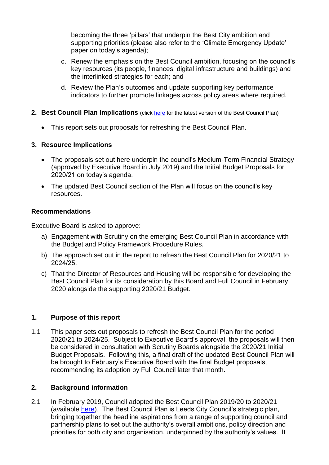becoming the three 'pillars' that underpin the Best City ambition and supporting priorities (please also refer to the 'Climate Emergency Update' paper on today's agenda);

- c. Renew the emphasis on the Best Council ambition, focusing on the council's key resources (its people, finances, digital infrastructure and buildings) and the interlinked strategies for each; and
- d. Review the Plan's outcomes and update supporting key performance indicators to further promote linkages across policy areas where required.
- **2. Best Council Plan Implications** (click [here](https://www.leeds.gov.uk/your-council/plans-and-strategies/council-plans) for the latest version of the Best Council Plan)
	- This report sets out proposals for refreshing the Best Council Plan.

## **3. Resource Implications**

- The proposals set out here underpin the council's Medium-Term Financial Strategy (approved by Executive Board in July 2019) and the Initial Budget Proposals for 2020/21 on today's agenda.
- The updated Best Council section of the Plan will focus on the council's key resources.

## **Recommendations**

Executive Board is asked to approve:

- a) Engagement with Scrutiny on the emerging Best Council Plan in accordance with the Budget and Policy Framework Procedure Rules.
- b) The approach set out in the report to refresh the Best Council Plan for 2020/21 to 2024/25.
- c) That the Director of Resources and Housing will be responsible for developing the Best Council Plan for its consideration by this Board and Full Council in February 2020 alongside the supporting 2020/21 Budget.

# **1. Purpose of this report**

1.1 This paper sets out proposals to refresh the Best Council Plan for the period 2020/21 to 2024/25. Subject to Executive Board's approval, the proposals will then be considered in consultation with Scrutiny Boards alongside the 2020/21 Initial Budget Proposals. Following this, a final draft of the updated Best Council Plan will be brought to February's Executive Board with the final Budget proposals, recommending its adoption by Full Council later that month.

# **2. Background information**

2.1 In February 2019, Council adopted the Best Council Plan 2019/20 to 2020/21 (available [here\)](https://www.leeds.gov.uk/docs/Best%20council%20plan%20-%20in%20full.pdf). The Best Council Plan is Leeds City Council's strategic plan, bringing together the headline aspirations from a range of supporting council and partnership plans to set out the authority's overall ambitions, policy direction and priorities for both city and organisation, underpinned by the authority's values. It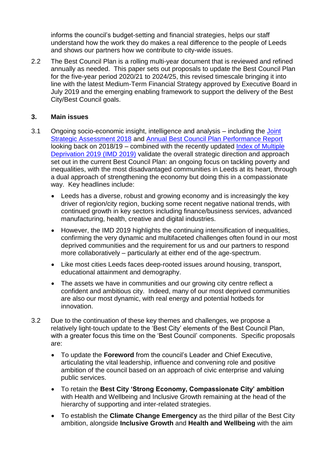informs the council's budget-setting and financial strategies, helps our staff understand how the work they do makes a real difference to the people of Leeds and shows our partners how we contribute to city-wide issues.

2.2 The Best Council Plan is a rolling multi-year document that is reviewed and refined annually as needed. This paper sets out proposals to update the Best Council Plan for the five-year period 2020/21 to 2024/25, this revised timescale bringing it into line with the latest Medium-Term Financial Strategy approved by Executive Board in July 2019 and the emerging enabling framework to support the delivery of the Best City/Best Council goals.

### **3. Main issues**

- 3.1 Ongoing socio-economic insight, intelligence and analysis including the [Joint](https://observatory.leeds.gov.uk/health-and-wellbeing/needs-assessments/)  [Strategic Assessment 2018](https://observatory.leeds.gov.uk/health-and-wellbeing/needs-assessments/) and [Annual Best Council Plan Performance Report](https://www.leeds.gov.uk/docs/2018-19%20Annual%20Performance%20Report.pdf) looking back on 2018/19 – combined with the recently updated [Index of Multiple](https://observatory.leeds.gov.uk/deprivation/)  [Deprivation 2019](https://observatory.leeds.gov.uk/deprivation/) (IMD 2019) validate the overall strategic direction and approach set out in the current Best Council Plan: an ongoing focus on tackling poverty and inequalities, with the most disadvantaged communities in Leeds at its heart, through a dual approach of strengthening the economy but doing this in a compassionate way. Key headlines include:
	- Leeds has a diverse, robust and growing economy and is increasingly the key driver of region/city region, bucking some recent negative national trends, with continued growth in key sectors including finance/business services, advanced manufacturing, health, creative and digital industries.
	- However, the IMD 2019 highlights the continuing intensification of inequalities, confirming the very dynamic and multifaceted challenges often found in our most deprived communities and the requirement for us and our partners to respond more collaboratively – particularly at either end of the age-spectrum.
	- Like most cities Leeds faces deep-rooted issues around housing, transport, educational attainment and demography.
	- The assets we have in communities and our growing city centre reflect a confident and ambitious city. Indeed, many of our most deprived communities are also our most dynamic, with real energy and potential hotbeds for innovation.
- 3.2 Due to the continuation of these key themes and challenges, we propose a relatively light-touch update to the 'Best City' elements of the Best Council Plan, with a greater focus this time on the 'Best Council' components. Specific proposals are:
	- To update the **Foreword** from the council's Leader and Chief Executive, articulating the vital leadership, influence and convening role and positive ambition of the council based on an approach of civic enterprise and valuing public services.
	- To retain the **Best City 'Strong Economy, Compassionate City' ambition** with Health and Wellbeing and Inclusive Growth remaining at the head of the hierarchy of supporting and inter-related strategies.
	- To establish the **Climate Change Emergency** as the third pillar of the Best City ambition, alongside **Inclusive Growth** and **Health and Wellbeing** with the aim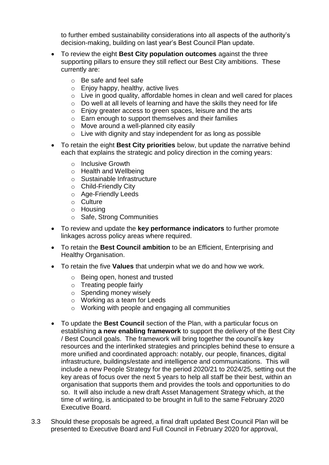to further embed sustainability considerations into all aspects of the authority's decision-making, building on last year's Best Council Plan update.

- To review the eight **Best City population outcomes** against the three supporting pillars to ensure they still reflect our Best City ambitions. These currently are:
	- o Be safe and feel safe
	- o Enjoy happy, healthy, active lives
	- o Live in good quality, affordable homes in clean and well cared for places
	- o Do well at all levels of learning and have the skills they need for life
	- o Enjoy greater access to green spaces, leisure and the arts
	- o Earn enough to support themselves and their families
	- o Move around a well-planned city easily
	- $\circ$  Live with dignity and stay independent for as long as possible
- To retain the eight **Best City priorities** below, but update the narrative behind each that explains the strategic and policy direction in the coming years:
	- o Inclusive Growth
	- o Health and Wellbeing
	- o Sustainable Infrastructure
	- o Child-Friendly City
	- o Age-Friendly Leeds
	- o Culture
	- o Housing
	- o Safe, Strong Communities
- To review and update the **key performance indicators** to further promote linkages across policy areas where required.
- To retain the **Best Council ambition** to be an Efficient, Enterprising and Healthy Organisation.
- To retain the five **Values** that underpin what we do and how we work.
	- o Being open, honest and trusted
	- o Treating people fairly
	- o Spending money wisely
	- o Working as a team for Leeds
	- o Working with people and engaging all communities
- To update the **Best Council** section of the Plan, with a particular focus on establishing **a new enabling framework** to support the delivery of the Best City / Best Council goals. The framework will bring together the council's key resources and the interlinked strategies and principles behind these to ensure a more unified and coordinated approach: notably, our people, finances, digital infrastructure, buildings/estate and intelligence and communications. This will include a new People Strategy for the period 2020/21 to 2024/25, setting out the key areas of focus over the next 5 years to help all staff be their best, within an organisation that supports them and provides the tools and opportunities to do so. It will also include a new draft Asset Management Strategy which, at the time of writing, is anticipated to be brought in full to the same February 2020 Executive Board.
- 3.3 Should these proposals be agreed, a final draft updated Best Council Plan will be presented to Executive Board and Full Council in February 2020 for approval,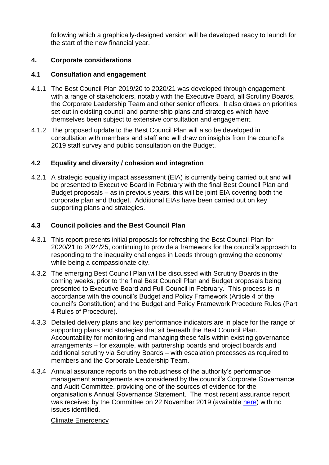following which a graphically-designed version will be developed ready to launch for the start of the new financial year.

# **4. Corporate considerations**

# **4.1 Consultation and engagement**

- 4.1.1 The Best Council Plan 2019/20 to 2020/21 was developed through engagement with a range of stakeholders, notably with the Executive Board, all Scrutiny Boards, the Corporate Leadership Team and other senior officers. It also draws on priorities set out in existing council and partnership plans and strategies which have themselves been subject to extensive consultation and engagement.
- 4.1.2 The proposed update to the Best Council Plan will also be developed in consultation with members and staff and will draw on insights from the council's 2019 staff survey and public consultation on the Budget.

# **4.2 Equality and diversity / cohesion and integration**

4.2.1 A strategic equality impact assessment (EIA) is currently being carried out and will be presented to Executive Board in February with the final Best Council Plan and Budget proposals – as in previous years, this will be joint EIA covering both the corporate plan and Budget. Additional EIAs have been carried out on key supporting plans and strategies.

# **4.3 Council policies and the Best Council Plan**

- 4.3.1 This report presents initial proposals for refreshing the Best Council Plan for 2020/21 to 2024/25, continuing to provide a framework for the council's approach to responding to the inequality challenges in Leeds through growing the economy while being a compassionate city.
- 4.3.2 The emerging Best Council Plan will be discussed with Scrutiny Boards in the coming weeks, prior to the final Best Council Plan and Budget proposals being presented to Executive Board and Full Council in February. This process is in accordance with the council's Budget and Policy Framework (Article 4 of the council's Constitution) and the Budget and Policy Framework Procedure Rules (Part 4 Rules of Procedure).
- 4.3.3 Detailed delivery plans and key performance indicators are in place for the range of supporting plans and strategies that sit beneath the Best Council Plan. Accountability for monitoring and managing these falls within existing governance arrangements – for example, with partnership boards and project boards and additional scrutiny via Scrutiny Boards – with escalation processes as required to members and the Corporate Leadership Team.
- 4.3.4 Annual assurance reports on the robustness of the authority's performance management arrangements are considered by the council's Corporate Governance and Audit Committee, providing one of the sources of evidence for the organisation's Annual Governance Statement. The most recent assurance report was received by the Committee on 22 November 2019 (available [here\)](http://democracy.leeds.gov.uk/documents/s196845/Assurance%20Report%20on%20Corporate%20Performance%20Management%20Arrangements.pdf) with no issues identified.

# Climate Emergency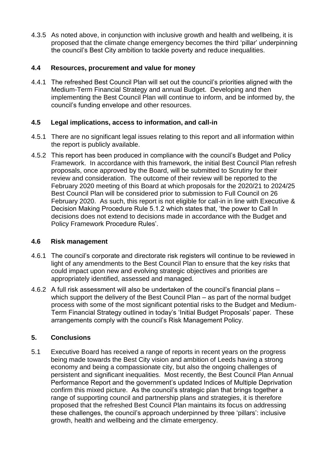4.3.5 As noted above, in conjunction with inclusive growth and health and wellbeing, it is proposed that the climate change emergency becomes the third 'pillar' underpinning the council's Best City ambition to tackle poverty and reduce inequalities.

## **4.4 Resources, procurement and value for money**

4.4.1 The refreshed Best Council Plan will set out the council's priorities aligned with the Medium-Term Financial Strategy and annual Budget. Developing and then implementing the Best Council Plan will continue to inform, and be informed by, the council's funding envelope and other resources.

## **4.5 Legal implications, access to information, and call-in**

- 4.5.1 There are no significant legal issues relating to this report and all information within the report is publicly available.
- 4.5.2 This report has been produced in compliance with the council's Budget and Policy Framework. In accordance with this framework, the initial Best Council Plan refresh proposals, once approved by the Board, will be submitted to Scrutiny for their review and consideration. The outcome of their review will be reported to the February 2020 meeting of this Board at which proposals for the 2020/21 to 2024/25 Best Council Plan will be considered prior to submission to Full Council on 26 February 2020. As such, this report is not eligible for call-in in line with Executive & Decision Making Procedure Rule 5.1.2 which states that, 'the power to Call In decisions does not extend to decisions made in accordance with the Budget and Policy Framework Procedure Rules'.

### **4.6 Risk management**

- 4.6.1 The council's corporate and directorate risk registers will continue to be reviewed in light of any amendments to the Best Council Plan to ensure that the key risks that could impact upon new and evolving strategic objectives and priorities are appropriately identified, assessed and managed.
- 4.6.2 A full risk assessment will also be undertaken of the council's financial plans which support the delivery of the Best Council Plan – as part of the normal budget process with some of the most significant potential risks to the Budget and Medium-Term Financial Strategy outlined in today's 'Initial Budget Proposals' paper. These arrangements comply with the council's Risk Management Policy.

# **5. Conclusions**

5.1 Executive Board has received a range of reports in recent years on the progress being made towards the Best City vision and ambition of Leeds having a strong economy and being a compassionate city, but also the ongoing challenges of persistent and significant inequalities. Most recently, the Best Council Plan Annual Performance Report and the government's updated Indices of Multiple Deprivation confirm this mixed picture. As the council's strategic plan that brings together a range of supporting council and partnership plans and strategies, it is therefore proposed that the refreshed Best Council Plan maintains its focus on addressing these challenges, the council's approach underpinned by three 'pillars': inclusive growth, health and wellbeing and the climate emergency.